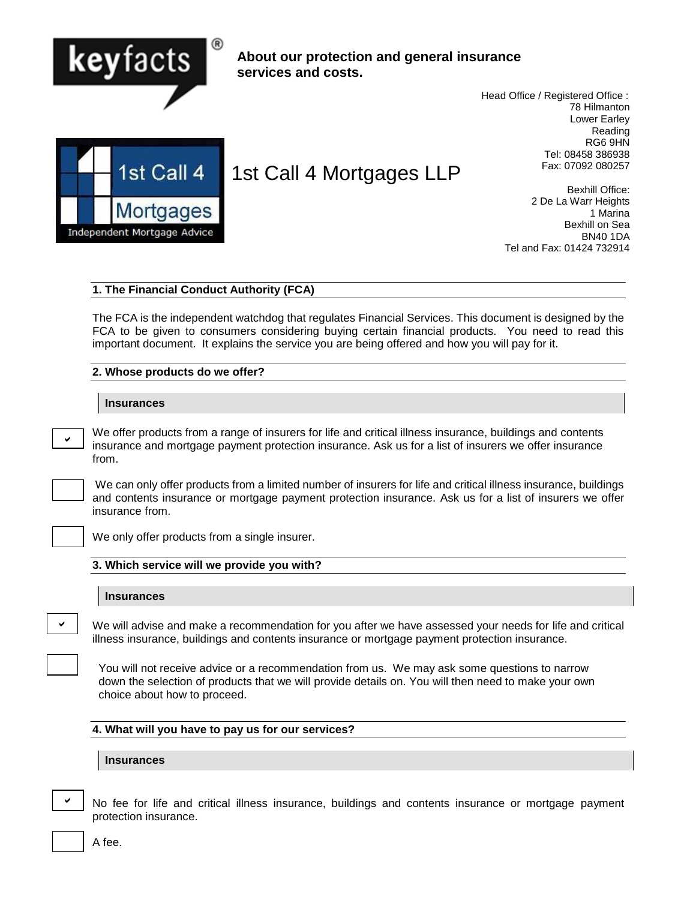

## **About our protection and general insurance services and costs.**

 Head Office / Registered Office : 78 Hilmanton Lower Earley Reading RG6 9HN Tel: 08458 386938 Fax: 07092 080257



# 1st Call 4 Mortgages LLP

Bexhill Office: 2 De La Warr Heights 1 Marina Bexhill on Sea BN40 1DA Tel and Fax: 01424 732914

#### **1. The Financial Conduct Authority (FCA)**

The FCA is the independent watchdog that regulates Financial Services. This document is designed by the FCA to be given to consumers considering buying certain financial products. You need to read this important document. It explains the service you are being offered and how you will pay for it.

#### **2. Whose products do we offer?**

#### **Insurances**

We offer products from a range of insurers for life and critical illness insurance, buildings and contents insurance and mortgage payment protection insurance. Ask us for a list of insurers we offer insurance from.

We can only offer products from a limited number of insurers for life and critical illness insurance, buildings and contents insurance or mortgage payment protection insurance. Ask us for a list of insurers we offer insurance from.

V

 $\checkmark$ 

We only offer products from a single insurer.

#### **3. Which service will we provide you with?**

#### **Insurances**

We will advise and make a recommendation for you after we have assessed your needs for life and critical illness insurance, buildings and contents insurance or mortgage payment protection insurance.

You will not receive advice or a recommendation from us. We may ask some questions to narrow down the selection of products that we will provide details on. You will then need to make your own choice about how to proceed.

#### **4. What will you have to pay us for our services?**

#### **Insurances**

| ł<br>I<br>ł<br>I<br>I<br>I<br>× |
|---------------------------------|
|---------------------------------|

No fee for life and critical illness insurance, buildings and contents insurance or mortgage payment protection insurance.

A fee.